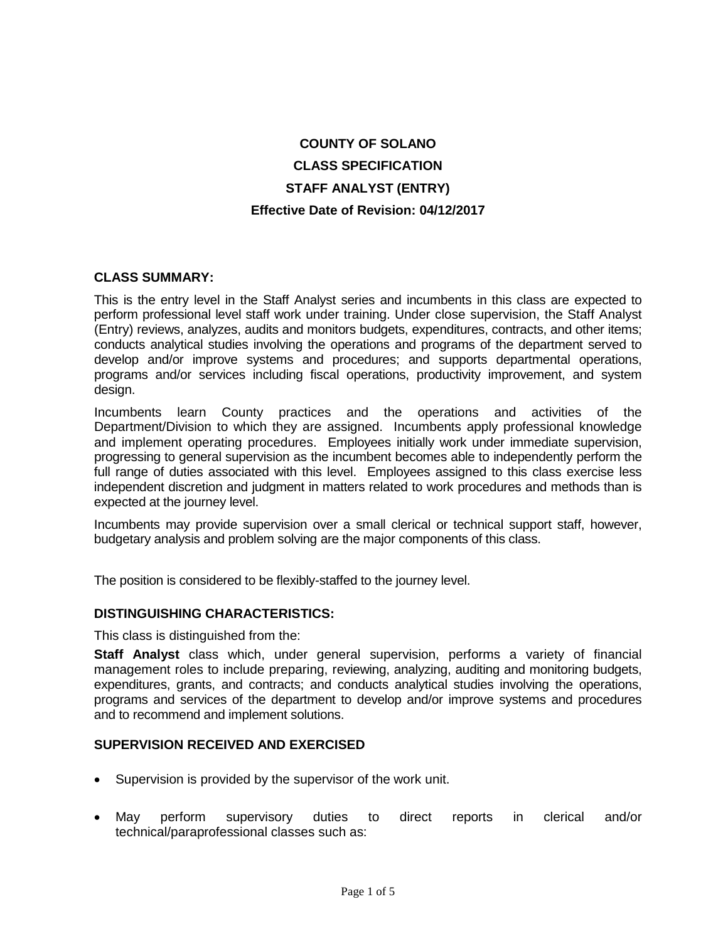# **COUNTY OF SOLANO CLASS SPECIFICATION STAFF ANALYST (ENTRY) Effective Date of Revision: 04/12/2017**

## **CLASS SUMMARY:**

This is the entry level in the Staff Analyst series and incumbents in this class are expected to perform professional level staff work under training. Under close supervision, the Staff Analyst (Entry) reviews, analyzes, audits and monitors budgets, expenditures, contracts, and other items; conducts analytical studies involving the operations and programs of the department served to develop and/or improve systems and procedures; and supports departmental operations, programs and/or services including fiscal operations, productivity improvement, and system design.

Incumbents learn County practices and the operations and activities of the Department/Division to which they are assigned. Incumbents apply professional knowledge and implement operating procedures. Employees initially work under immediate supervision, progressing to general supervision as the incumbent becomes able to independently perform the full range of duties associated with this level. Employees assigned to this class exercise less independent discretion and judgment in matters related to work procedures and methods than is expected at the journey level.

Incumbents may provide supervision over a small clerical or technical support staff, however, budgetary analysis and problem solving are the major components of this class.

The position is considered to be flexibly-staffed to the journey level.

#### **DISTINGUISHING CHARACTERISTICS:**

This class is distinguished from the:

**Staff Analyst** class which, under general supervision, performs a variety of financial management roles to include preparing, reviewing, analyzing, auditing and monitoring budgets, expenditures, grants, and contracts; and conducts analytical studies involving the operations, programs and services of the department to develop and/or improve systems and procedures and to recommend and implement solutions.

# **SUPERVISION RECEIVED AND EXERCISED**

- Supervision is provided by the supervisor of the work unit.
- May perform supervisory duties to direct reports in clerical and/or technical/paraprofessional classes such as: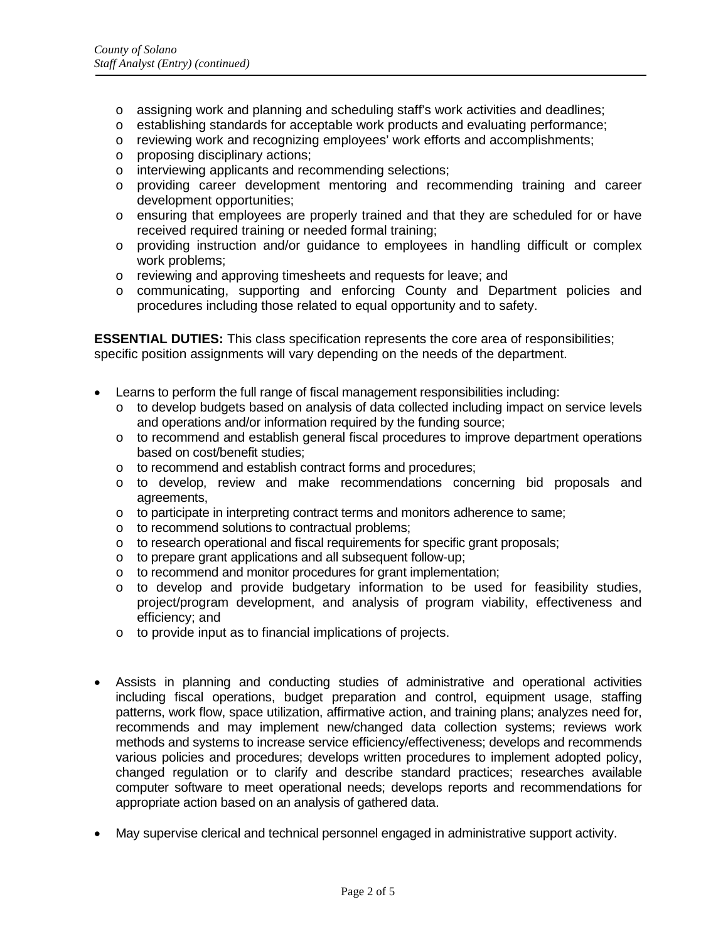- o assigning work and planning and scheduling staff's work activities and deadlines;
- o establishing standards for acceptable work products and evaluating performance;
- o reviewing work and recognizing employees' work efforts and accomplishments;
- o proposing disciplinary actions;
- o interviewing applicants and recommending selections;
- o providing career development mentoring and recommending training and career development opportunities;
- o ensuring that employees are properly trained and that they are scheduled for or have received required training or needed formal training;
- o providing instruction and/or guidance to employees in handling difficult or complex work problems;
- o reviewing and approving timesheets and requests for leave; and
- o communicating, supporting and enforcing County and Department policies and procedures including those related to equal opportunity and to safety.

**ESSENTIAL DUTIES:** This class specification represents the core area of responsibilities; specific position assignments will vary depending on the needs of the department.

- Learns to perform the full range of fiscal management responsibilities including:
	- o to develop budgets based on analysis of data collected including impact on service levels and operations and/or information required by the funding source;
	- o to recommend and establish general fiscal procedures to improve department operations based on cost/benefit studies;
	- o to recommend and establish contract forms and procedures;
	- o to develop, review and make recommendations concerning bid proposals and agreements,
	- o to participate in interpreting contract terms and monitors adherence to same;
	- o to recommend solutions to contractual problems;
	- o to research operational and fiscal requirements for specific grant proposals;
	- o to prepare grant applications and all subsequent follow-up;
	- to recommend and monitor procedures for grant implementation;
	- o to develop and provide budgetary information to be used for feasibility studies, project/program development, and analysis of program viability, effectiveness and efficiency; and
	- o to provide input as to financial implications of projects.
- Assists in planning and conducting studies of administrative and operational activities including fiscal operations, budget preparation and control, equipment usage, staffing patterns, work flow, space utilization, affirmative action, and training plans; analyzes need for, recommends and may implement new/changed data collection systems; reviews work methods and systems to increase service efficiency/effectiveness; develops and recommends various policies and procedures; develops written procedures to implement adopted policy, changed regulation or to clarify and describe standard practices; researches available computer software to meet operational needs; develops reports and recommendations for appropriate action based on an analysis of gathered data.
- May supervise clerical and technical personnel engaged in administrative support activity.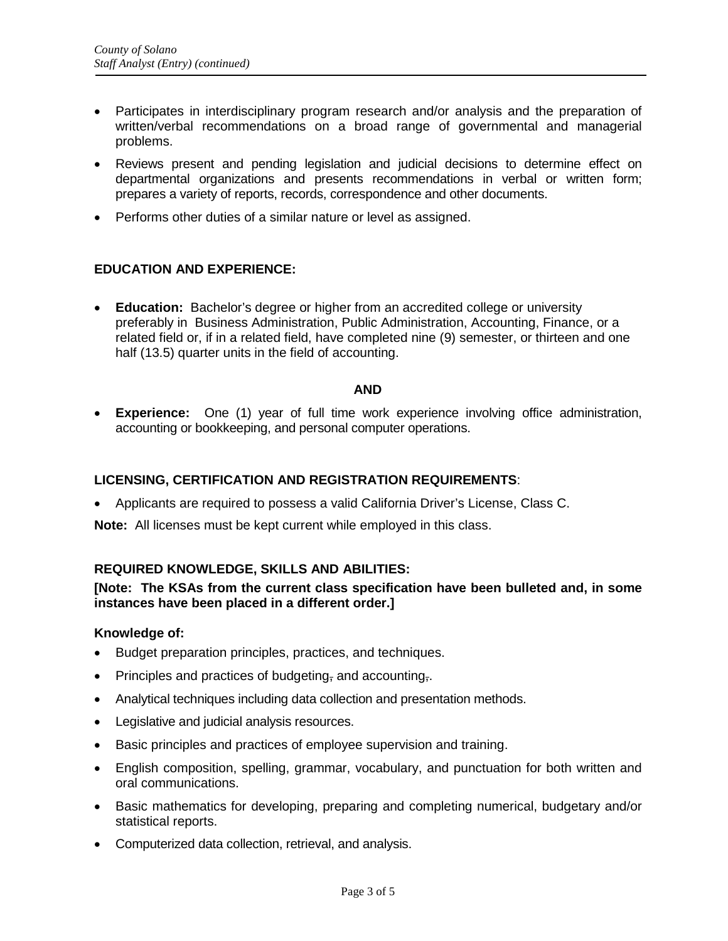- Participates in interdisciplinary program research and/or analysis and the preparation of written/verbal recommendations on a broad range of governmental and managerial problems.
- Reviews present and pending legislation and judicial decisions to determine effect on departmental organizations and presents recommendations in verbal or written form; prepares a variety of reports, records, correspondence and other documents.
- Performs other duties of a similar nature or level as assigned.

# **EDUCATION AND EXPERIENCE:**

• **Education:** Bachelor's degree or higher from an accredited college or university preferably in Business Administration, Public Administration, Accounting, Finance, or a related field or, if in a related field, have completed nine (9) semester, or thirteen and one half (13.5) quarter units in the field of accounting.

#### **AND**

• **Experience:** One (1) year of full time work experience involving office administration, accounting or bookkeeping, and personal computer operations.

# **LICENSING, CERTIFICATION AND REGISTRATION REQUIREMENTS**:

• Applicants are required to possess a valid California Driver's License, Class C.

**Note:** All licenses must be kept current while employed in this class.

#### **REQUIRED KNOWLEDGE, SKILLS AND ABILITIES:**

## **[Note: The KSAs from the current class specification have been bulleted and, in some instances have been placed in a different order.]**

### **Knowledge of:**

- Budget preparation principles, practices, and techniques.
- Principles and practices of budgeting, and accounting,
- Analytical techniques including data collection and presentation methods.
- Legislative and judicial analysis resources.
- Basic principles and practices of employee supervision and training.
- English composition, spelling, grammar, vocabulary, and punctuation for both written and oral communications.
- Basic mathematics for developing, preparing and completing numerical, budgetary and/or statistical reports.
- Computerized data collection, retrieval, and analysis.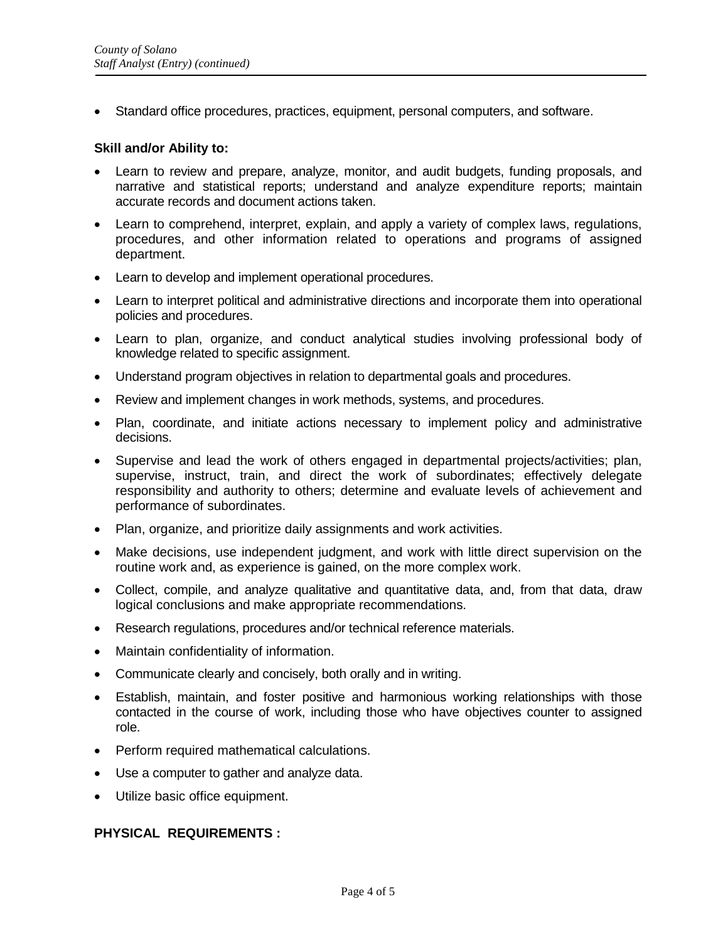• Standard office procedures, practices, equipment, personal computers, and software.

### **Skill and/or Ability to:**

- Learn to review and prepare, analyze, monitor, and audit budgets, funding proposals, and narrative and statistical reports; understand and analyze expenditure reports; maintain accurate records and document actions taken.
- Learn to comprehend, interpret, explain, and apply a variety of complex laws, regulations, procedures, and other information related to operations and programs of assigned department.
- Learn to develop and implement operational procedures.
- Learn to interpret political and administrative directions and incorporate them into operational policies and procedures.
- Learn to plan, organize, and conduct analytical studies involving professional body of knowledge related to specific assignment.
- Understand program objectives in relation to departmental goals and procedures.
- Review and implement changes in work methods, systems, and procedures.
- Plan, coordinate, and initiate actions necessary to implement policy and administrative decisions.
- Supervise and lead the work of others engaged in departmental projects/activities; plan, supervise, instruct, train, and direct the work of subordinates; effectively delegate responsibility and authority to others; determine and evaluate levels of achievement and performance of subordinates.
- Plan, organize, and prioritize daily assignments and work activities.
- Make decisions, use independent judgment, and work with little direct supervision on the routine work and, as experience is gained, on the more complex work.
- Collect, compile, and analyze qualitative and quantitative data, and, from that data, draw logical conclusions and make appropriate recommendations.
- Research regulations, procedures and/or technical reference materials.
- Maintain confidentiality of information.
- Communicate clearly and concisely, both orally and in writing.
- Establish, maintain, and foster positive and harmonious working relationships with those contacted in the course of work, including those who have objectives counter to assigned role.
- Perform required mathematical calculations.
- Use a computer to gather and analyze data.
- Utilize basic office equipment.

# **PHYSICAL REQUIREMENTS :**